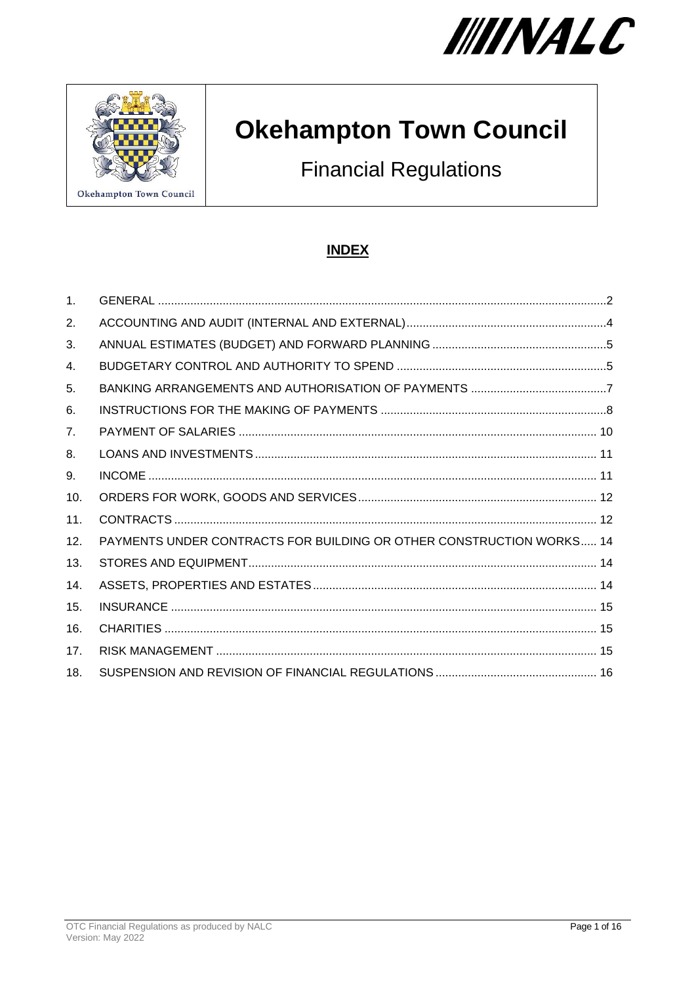



# **Okehampton Town Council**

**Financial Regulations** 

# **INDEX**

| $\mathbf{1}$ .  |                                                                      |
|-----------------|----------------------------------------------------------------------|
| 2.              |                                                                      |
| 3.              |                                                                      |
| 4.              |                                                                      |
| 5.              |                                                                      |
| 6.              |                                                                      |
| 7 <sub>1</sub>  |                                                                      |
| 8.              |                                                                      |
| 9.              |                                                                      |
| 10.             |                                                                      |
| 11.             |                                                                      |
| 12.             | PAYMENTS UNDER CONTRACTS FOR BUILDING OR OTHER CONSTRUCTION WORKS 14 |
| 13.             |                                                                      |
| 14.             |                                                                      |
| 15.             |                                                                      |
| 16.             |                                                                      |
| 17 <sub>1</sub> |                                                                      |
| 18.             |                                                                      |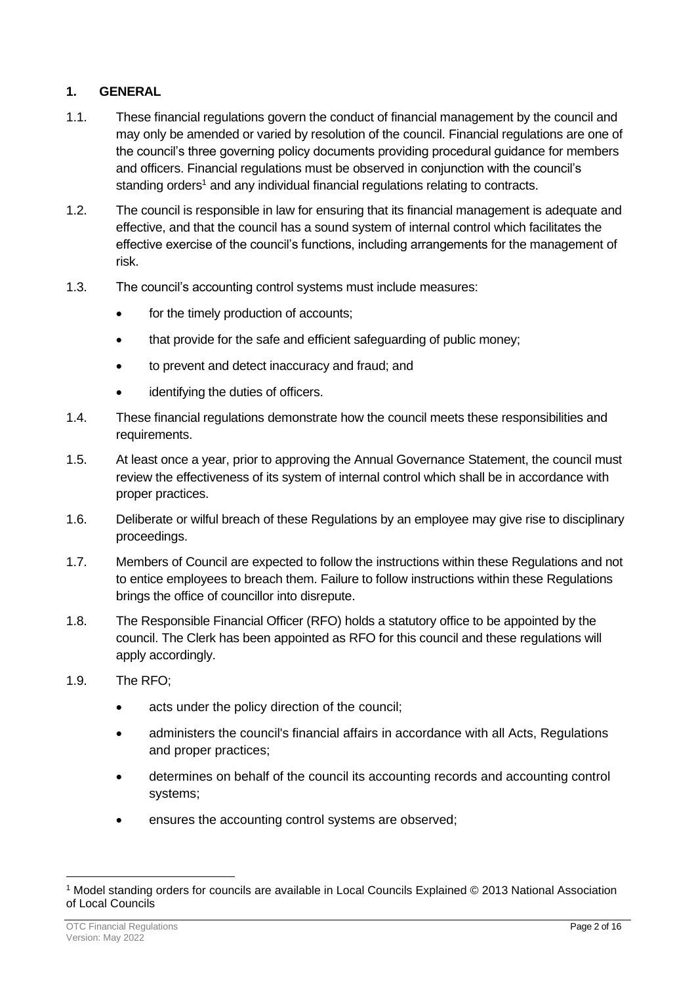# <span id="page-1-0"></span>**1. GENERAL**

- 1.1. These financial regulations govern the conduct of financial management by the council and may only be amended or varied by resolution of the council. Financial regulations are one of the council's three governing policy documents providing procedural guidance for members and officers. Financial regulations must be observed in conjunction with the council's standing orders<sup>1</sup> and any individual financial regulations relating to contracts.
- 1.2. The council is responsible in law for ensuring that its financial management is adequate and effective, and that the council has a sound system of internal control which facilitates the effective exercise of the council's functions, including arrangements for the management of risk.
- 1.3. The council's accounting control systems must include measures:
	- for the timely production of accounts;
	- that provide for the safe and efficient safeguarding of public money;
	- to prevent and detect inaccuracy and fraud; and
	- identifying the duties of officers.
- 1.4. These financial regulations demonstrate how the council meets these responsibilities and requirements.
- 1.5. At least once a year, prior to approving the Annual Governance Statement, the council must review the effectiveness of its system of internal control which shall be in accordance with proper practices.
- 1.6. Deliberate or wilful breach of these Regulations by an employee may give rise to disciplinary proceedings.
- 1.7. Members of Council are expected to follow the instructions within these Regulations and not to entice employees to breach them. Failure to follow instructions within these Regulations brings the office of councillor into disrepute.
- 1.8. The Responsible Financial Officer (RFO) holds a statutory office to be appointed by the council. The Clerk has been appointed as RFO for this council and these regulations will apply accordingly.
- 1.9. The RFO;
	- acts under the policy direction of the council;
	- administers the council's financial affairs in accordance with all Acts, Regulations and proper practices;
	- determines on behalf of the council its accounting records and accounting control systems;
	- ensures the accounting control systems are observed;

<sup>1</sup> Model standing orders for councils are available in Local Councils Explained © 2013 National Association of Local Councils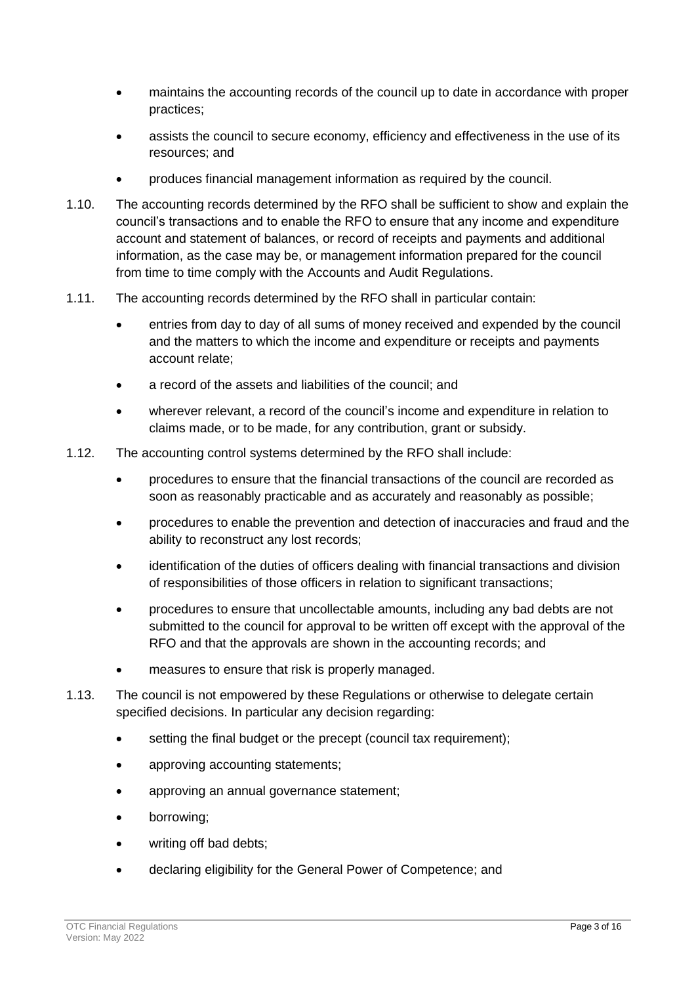- maintains the accounting records of the council up to date in accordance with proper practices;
- assists the council to secure economy, efficiency and effectiveness in the use of its resources; and
- produces financial management information as required by the council.
- 1.10. The accounting records determined by the RFO shall be sufficient to show and explain the council's transactions and to enable the RFO to ensure that any income and expenditure account and statement of balances, or record of receipts and payments and additional information, as the case may be, or management information prepared for the council from time to time comply with the Accounts and Audit Regulations.
- 1.11. The accounting records determined by the RFO shall in particular contain:
	- entries from day to day of all sums of money received and expended by the council and the matters to which the income and expenditure or receipts and payments account relate;
	- a record of the assets and liabilities of the council; and
	- wherever relevant, a record of the council's income and expenditure in relation to claims made, or to be made, for any contribution, grant or subsidy.
- 1.12. The accounting control systems determined by the RFO shall include:
	- procedures to ensure that the financial transactions of the council are recorded as soon as reasonably practicable and as accurately and reasonably as possible;
	- procedures to enable the prevention and detection of inaccuracies and fraud and the ability to reconstruct any lost records;
	- identification of the duties of officers dealing with financial transactions and division of responsibilities of those officers in relation to significant transactions;
	- procedures to ensure that uncollectable amounts, including any bad debts are not submitted to the council for approval to be written off except with the approval of the RFO and that the approvals are shown in the accounting records; and
	- measures to ensure that risk is properly managed.
- 1.13. The council is not empowered by these Regulations or otherwise to delegate certain specified decisions. In particular any decision regarding:
	- setting the final budget or the precept (council tax requirement);
	- approving accounting statements;
	- approving an annual governance statement;
	- borrowing;
	- writing off bad debts;
	- declaring eligibility for the General Power of Competence; and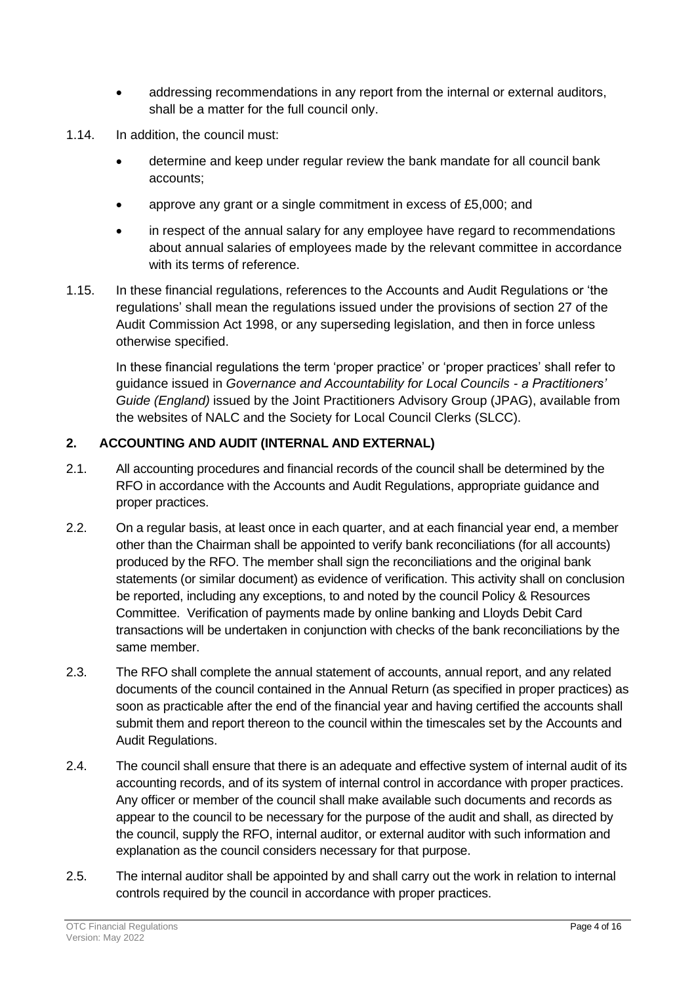- addressing recommendations in any report from the internal or external auditors, shall be a matter for the full council only.
- 1.14. In addition, the council must:
	- determine and keep under regular review the bank mandate for all council bank accounts;
	- approve any grant or a single commitment in excess of £5,000; and
	- in respect of the annual salary for any employee have regard to recommendations about annual salaries of employees made by the relevant committee in accordance with its terms of reference.
- 1.15. In these financial regulations, references to the Accounts and Audit Regulations or 'the regulations' shall mean the regulations issued under the provisions of section 27 of the Audit Commission Act 1998, or any superseding legislation, and then in force unless otherwise specified.

In these financial regulations the term 'proper practice' or 'proper practices' shall refer to guidance issued in *Governance and Accountability for Local Councils - a Practitioners' Guide (England)* issued by the Joint Practitioners Advisory Group (JPAG), available from the websites of NALC and the Society for Local Council Clerks (SLCC).

# <span id="page-3-0"></span>**2. ACCOUNTING AND AUDIT (INTERNAL AND EXTERNAL)**

- 2.1. All accounting procedures and financial records of the council shall be determined by the RFO in accordance with the Accounts and Audit Regulations, appropriate guidance and proper practices.
- 2.2. On a regular basis, at least once in each quarter, and at each financial year end, a member other than the Chairman shall be appointed to verify bank reconciliations (for all accounts) produced by the RFO. The member shall sign the reconciliations and the original bank statements (or similar document) as evidence of verification. This activity shall on conclusion be reported, including any exceptions, to and noted by the council Policy & Resources Committee. Verification of payments made by online banking and Lloyds Debit Card transactions will be undertaken in conjunction with checks of the bank reconciliations by the same member.
- 2.3. The RFO shall complete the annual statement of accounts, annual report, and any related documents of the council contained in the Annual Return (as specified in proper practices) as soon as practicable after the end of the financial year and having certified the accounts shall submit them and report thereon to the council within the timescales set by the Accounts and Audit Regulations.
- 2.4. The council shall ensure that there is an adequate and effective system of internal audit of its accounting records, and of its system of internal control in accordance with proper practices. Any officer or member of the council shall make available such documents and records as appear to the council to be necessary for the purpose of the audit and shall, as directed by the council, supply the RFO, internal auditor, or external auditor with such information and explanation as the council considers necessary for that purpose.
- 2.5. The internal auditor shall be appointed by and shall carry out the work in relation to internal controls required by the council in accordance with proper practices.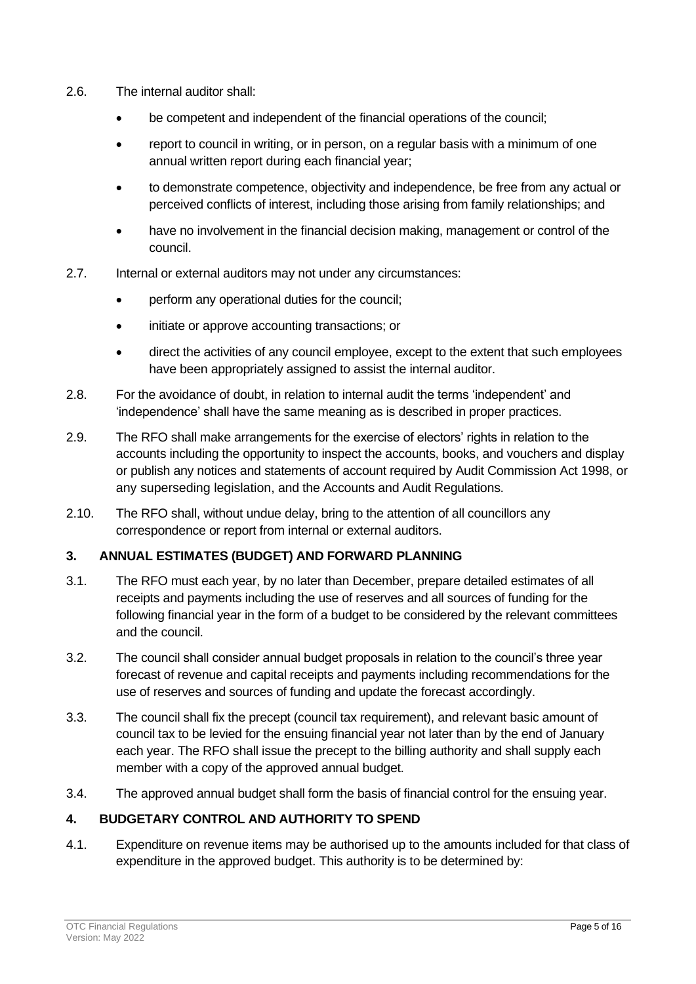- 2.6. The internal auditor shall:
	- be competent and independent of the financial operations of the council;
	- report to council in writing, or in person, on a regular basis with a minimum of one annual written report during each financial year;
	- to demonstrate competence, objectivity and independence, be free from any actual or perceived conflicts of interest, including those arising from family relationships; and
	- have no involvement in the financial decision making, management or control of the council.
- 2.7. Internal or external auditors may not under any circumstances:
	- perform any operational duties for the council;
	- initiate or approve accounting transactions; or
	- direct the activities of any council employee, except to the extent that such employees have been appropriately assigned to assist the internal auditor.
- 2.8. For the avoidance of doubt, in relation to internal audit the terms 'independent' and 'independence' shall have the same meaning as is described in proper practices.
- 2.9. The RFO shall make arrangements for the exercise of electors' rights in relation to the accounts including the opportunity to inspect the accounts, books, and vouchers and display or publish any notices and statements of account required by Audit Commission Act 1998, or any superseding legislation, and the Accounts and Audit Regulations.
- 2.10. The RFO shall, without undue delay, bring to the attention of all councillors any correspondence or report from internal or external auditors.

# <span id="page-4-0"></span>**3. ANNUAL ESTIMATES (BUDGET) AND FORWARD PLANNING**

- 3.1. The RFO must each year, by no later than December, prepare detailed estimates of all receipts and payments including the use of reserves and all sources of funding for the following financial year in the form of a budget to be considered by the relevant committees and the council.
- 3.2. The council shall consider annual budget proposals in relation to the council's three year forecast of revenue and capital receipts and payments including recommendations for the use of reserves and sources of funding and update the forecast accordingly.
- 3.3. The council shall fix the precept (council tax requirement), and relevant basic amount of council tax to be levied for the ensuing financial year not later than by the end of January each year. The RFO shall issue the precept to the billing authority and shall supply each member with a copy of the approved annual budget.
- 3.4. The approved annual budget shall form the basis of financial control for the ensuing year.

# <span id="page-4-1"></span>**4. BUDGETARY CONTROL AND AUTHORITY TO SPEND**

4.1. Expenditure on revenue items may be authorised up to the amounts included for that class of expenditure in the approved budget. This authority is to be determined by: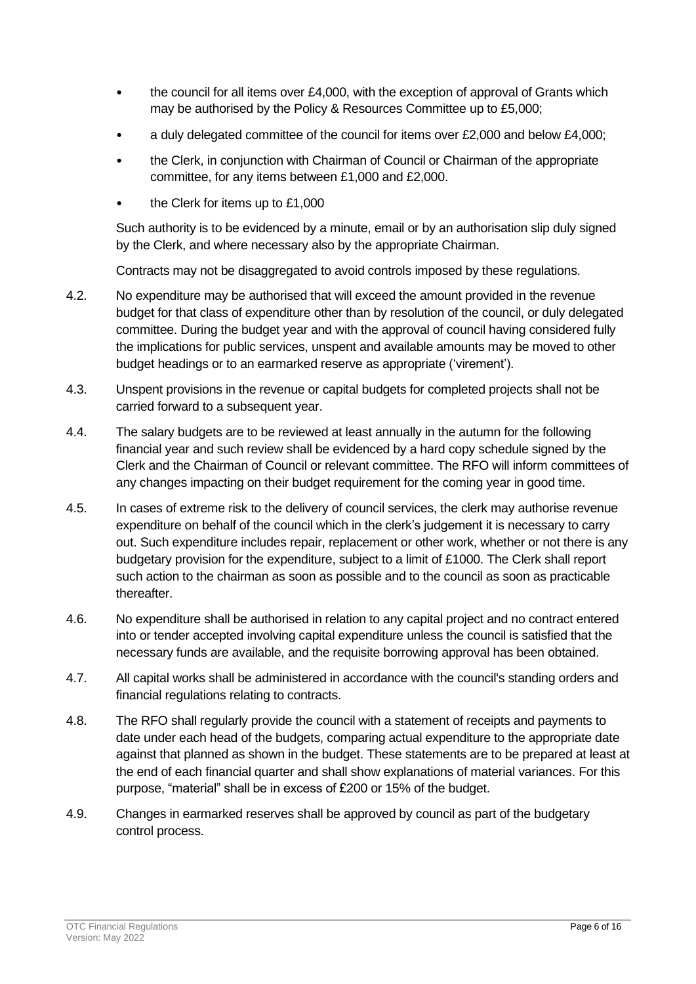- the council for all items over  $£4,000$ , with the exception of approval of Grants which may be authorised by the Policy & Resources Committee up to £5,000;
- a duly delegated committee of the council for items over £2,000 and below £4,000;
- the Clerk, in conjunction with Chairman of Council or Chairman of the appropriate committee, for any items between £1,000 and £2,000.
- the Clerk for items up to  $£1,000$

Such authority is to be evidenced by a minute, email or by an authorisation slip duly signed by the Clerk, and where necessary also by the appropriate Chairman.

Contracts may not be disaggregated to avoid controls imposed by these regulations.

- 4.2. No expenditure may be authorised that will exceed the amount provided in the revenue budget for that class of expenditure other than by resolution of the council, or duly delegated committee. During the budget year and with the approval of council having considered fully the implications for public services, unspent and available amounts may be moved to other budget headings or to an earmarked reserve as appropriate ('virement').
- 4.3. Unspent provisions in the revenue or capital budgets for completed projects shall not be carried forward to a subsequent year.
- 4.4. The salary budgets are to be reviewed at least annually in the autumn for the following financial year and such review shall be evidenced by a hard copy schedule signed by the Clerk and the Chairman of Council or relevant committee. The RFO will inform committees of any changes impacting on their budget requirement for the coming year in good time.
- 4.5. In cases of extreme risk to the delivery of council services, the clerk may authorise revenue expenditure on behalf of the council which in the clerk's judgement it is necessary to carry out. Such expenditure includes repair, replacement or other work, whether or not there is any budgetary provision for the expenditure, subject to a limit of £1000. The Clerk shall report such action to the chairman as soon as possible and to the council as soon as practicable thereafter.
- 4.6. No expenditure shall be authorised in relation to any capital project and no contract entered into or tender accepted involving capital expenditure unless the council is satisfied that the necessary funds are available, and the requisite borrowing approval has been obtained.
- 4.7. All capital works shall be administered in accordance with the council's standing orders and financial regulations relating to contracts.
- 4.8. The RFO shall regularly provide the council with a statement of receipts and payments to date under each head of the budgets, comparing actual expenditure to the appropriate date against that planned as shown in the budget. These statements are to be prepared at least at the end of each financial quarter and shall show explanations of material variances. For this purpose, "material" shall be in excess of £200 or 15% of the budget.
- 4.9. Changes in earmarked reserves shall be approved by council as part of the budgetary control process.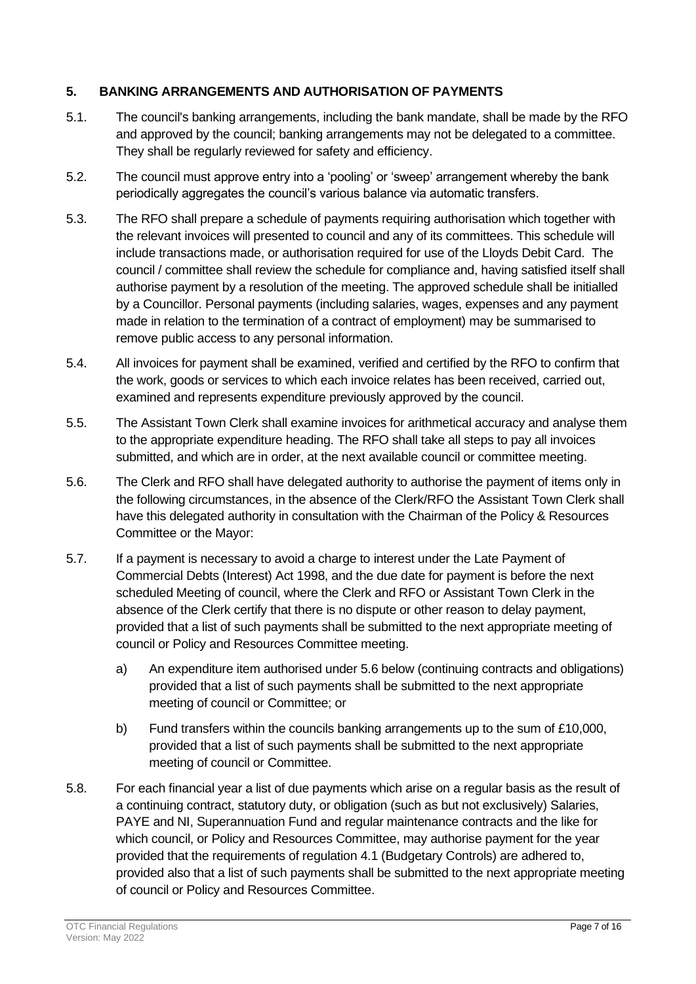## <span id="page-6-0"></span>**5. BANKING ARRANGEMENTS AND AUTHORISATION OF PAYMENTS**

- 5.1. The council's banking arrangements, including the bank mandate, shall be made by the RFO and approved by the council; banking arrangements may not be delegated to a committee. They shall be regularly reviewed for safety and efficiency.
- 5.2. The council must approve entry into a 'pooling' or 'sweep' arrangement whereby the bank periodically aggregates the council's various balance via automatic transfers.
- 5.3. The RFO shall prepare a schedule of payments requiring authorisation which together with the relevant invoices will presented to council and any of its committees. This schedule will include transactions made, or authorisation required for use of the Lloyds Debit Card. The council / committee shall review the schedule for compliance and, having satisfied itself shall authorise payment by a resolution of the meeting. The approved schedule shall be initialled by a Councillor. Personal payments (including salaries, wages, expenses and any payment made in relation to the termination of a contract of employment) may be summarised to remove public access to any personal information.
- 5.4. All invoices for payment shall be examined, verified and certified by the RFO to confirm that the work, goods or services to which each invoice relates has been received, carried out, examined and represents expenditure previously approved by the council.
- 5.5. The Assistant Town Clerk shall examine invoices for arithmetical accuracy and analyse them to the appropriate expenditure heading. The RFO shall take all steps to pay all invoices submitted, and which are in order, at the next available council or committee meeting.
- 5.6. The Clerk and RFO shall have delegated authority to authorise the payment of items only in the following circumstances, in the absence of the Clerk/RFO the Assistant Town Clerk shall have this delegated authority in consultation with the Chairman of the Policy & Resources Committee or the Mayor:
- 5.7. If a payment is necessary to avoid a charge to interest under the Late Payment of Commercial Debts (Interest) Act 1998, and the due date for payment is before the next scheduled Meeting of council, where the Clerk and RFO or Assistant Town Clerk in the absence of the Clerk certify that there is no dispute or other reason to delay payment, provided that a list of such payments shall be submitted to the next appropriate meeting of council or Policy and Resources Committee meeting.
	- a) An expenditure item authorised under 5.6 below (continuing contracts and obligations) provided that a list of such payments shall be submitted to the next appropriate meeting of council or Committee; or
	- b) Fund transfers within the councils banking arrangements up to the sum of £10,000, provided that a list of such payments shall be submitted to the next appropriate meeting of council or Committee.
- 5.8. For each financial year a list of due payments which arise on a regular basis as the result of a continuing contract, statutory duty, or obligation (such as but not exclusively) Salaries, PAYE and NI, Superannuation Fund and regular maintenance contracts and the like for which council, or Policy and Resources Committee, may authorise payment for the year provided that the requirements of regulation 4.1 (Budgetary Controls) are adhered to, provided also that a list of such payments shall be submitted to the next appropriate meeting of council or Policy and Resources Committee.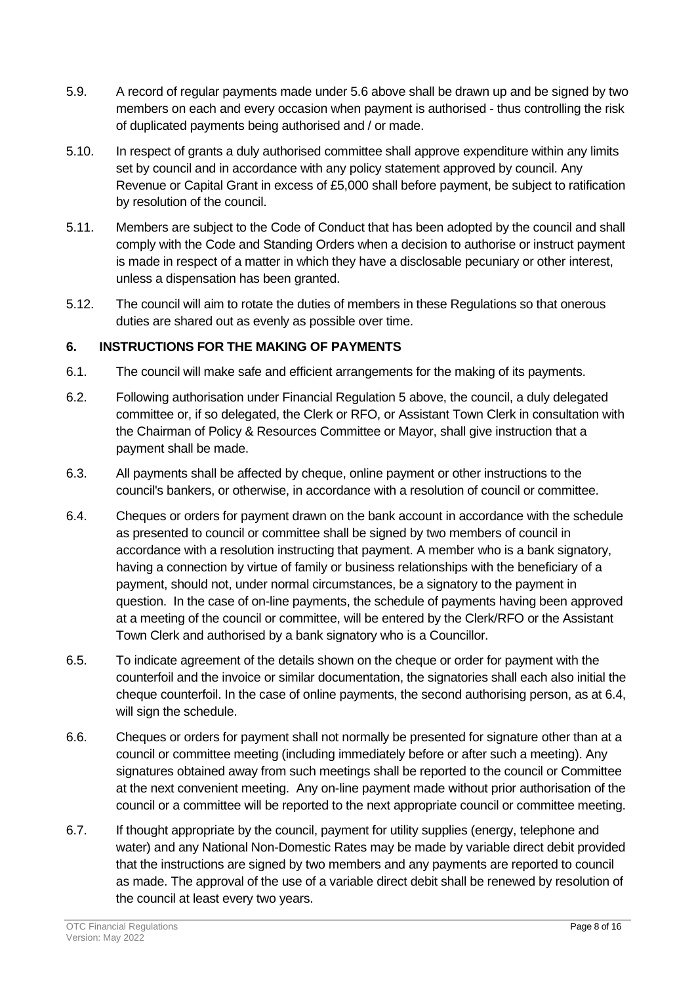- 5.9. A record of regular payments made under 5.6 above shall be drawn up and be signed by two members on each and every occasion when payment is authorised - thus controlling the risk of duplicated payments being authorised and / or made.
- 5.10. In respect of grants a duly authorised committee shall approve expenditure within any limits set by council and in accordance with any policy statement approved by council. Any Revenue or Capital Grant in excess of £5,000 shall before payment, be subject to ratification by resolution of the council.
- 5.11. Members are subject to the Code of Conduct that has been adopted by the council and shall comply with the Code and Standing Orders when a decision to authorise or instruct payment is made in respect of a matter in which they have a disclosable pecuniary or other interest, unless a dispensation has been granted.
- 5.12. The council will aim to rotate the duties of members in these Regulations so that onerous duties are shared out as evenly as possible over time.

# <span id="page-7-0"></span>**6. INSTRUCTIONS FOR THE MAKING OF PAYMENTS**

- 6.1. The council will make safe and efficient arrangements for the making of its payments.
- 6.2. Following authorisation under Financial Regulation 5 above, the council, a duly delegated committee or, if so delegated, the Clerk or RFO, or Assistant Town Clerk in consultation with the Chairman of Policy & Resources Committee or Mayor, shall give instruction that a payment shall be made.
- 6.3. All payments shall be affected by cheque, online payment or other instructions to the council's bankers, or otherwise, in accordance with a resolution of council or committee.
- 6.4. Cheques or orders for payment drawn on the bank account in accordance with the schedule as presented to council or committee shall be signed by two members of council in accordance with a resolution instructing that payment. A member who is a bank signatory, having a connection by virtue of family or business relationships with the beneficiary of a payment, should not, under normal circumstances, be a signatory to the payment in question. In the case of on-line payments, the schedule of payments having been approved at a meeting of the council or committee, will be entered by the Clerk/RFO or the Assistant Town Clerk and authorised by a bank signatory who is a Councillor.
- 6.5. To indicate agreement of the details shown on the cheque or order for payment with the counterfoil and the invoice or similar documentation, the signatories shall each also initial the cheque counterfoil. In the case of online payments, the second authorising person, as at 6.4, will sign the schedule.
- 6.6. Cheques or orders for payment shall not normally be presented for signature other than at a council or committee meeting (including immediately before or after such a meeting). Any signatures obtained away from such meetings shall be reported to the council or Committee at the next convenient meeting. Any on-line payment made without prior authorisation of the council or a committee will be reported to the next appropriate council or committee meeting.
- 6.7. If thought appropriate by the council, payment for utility supplies (energy, telephone and water) and any National Non-Domestic Rates may be made by variable direct debit provided that the instructions are signed by two members and any payments are reported to council as made. The approval of the use of a variable direct debit shall be renewed by resolution of the council at least every two years.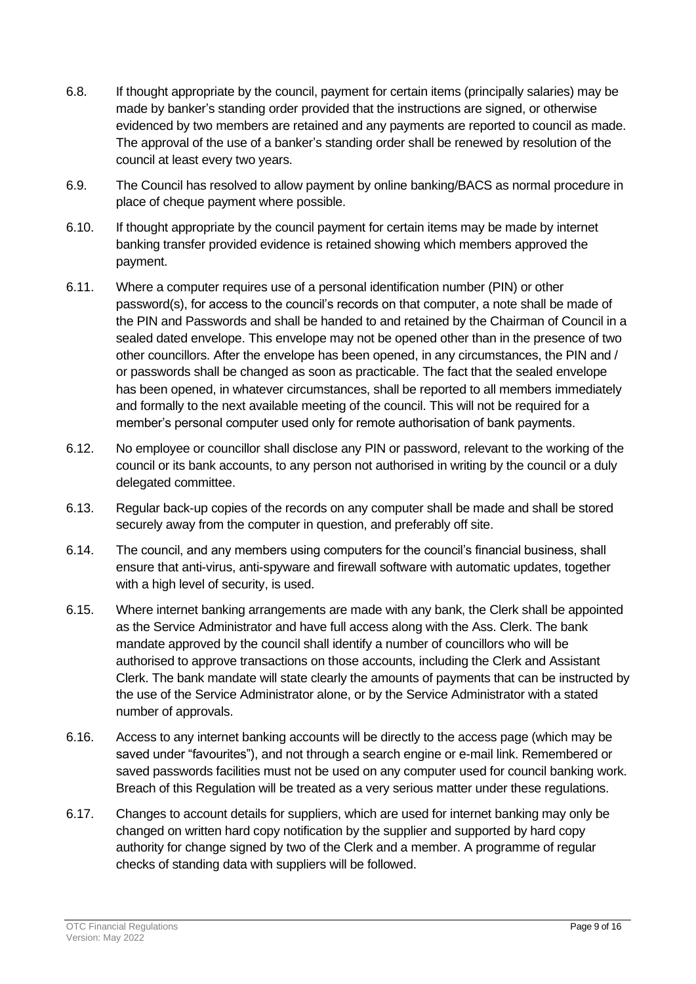- 6.8. If thought appropriate by the council, payment for certain items (principally salaries) may be made by banker's standing order provided that the instructions are signed, or otherwise evidenced by two members are retained and any payments are reported to council as made. The approval of the use of a banker's standing order shall be renewed by resolution of the council at least every two years.
- 6.9. The Council has resolved to allow payment by online banking/BACS as normal procedure in place of cheque payment where possible.
- 6.10. If thought appropriate by the council payment for certain items may be made by internet banking transfer provided evidence is retained showing which members approved the payment.
- 6.11. Where a computer requires use of a personal identification number (PIN) or other password(s), for access to the council's records on that computer, a note shall be made of the PIN and Passwords and shall be handed to and retained by the Chairman of Council in a sealed dated envelope. This envelope may not be opened other than in the presence of two other councillors. After the envelope has been opened, in any circumstances, the PIN and / or passwords shall be changed as soon as practicable. The fact that the sealed envelope has been opened, in whatever circumstances, shall be reported to all members immediately and formally to the next available meeting of the council. This will not be required for a member's personal computer used only for remote authorisation of bank payments.
- 6.12. No employee or councillor shall disclose any PIN or password, relevant to the working of the council or its bank accounts, to any person not authorised in writing by the council or a duly delegated committee.
- 6.13. Regular back-up copies of the records on any computer shall be made and shall be stored securely away from the computer in question, and preferably off site.
- 6.14. The council, and any members using computers for the council's financial business, shall ensure that anti-virus, anti-spyware and firewall software with automatic updates, together with a high level of security, is used.
- 6.15. Where internet banking arrangements are made with any bank, the Clerk shall be appointed as the Service Administrator and have full access along with the Ass. Clerk. The bank mandate approved by the council shall identify a number of councillors who will be authorised to approve transactions on those accounts, including the Clerk and Assistant Clerk. The bank mandate will state clearly the amounts of payments that can be instructed by the use of the Service Administrator alone, or by the Service Administrator with a stated number of approvals.
- 6.16. Access to any internet banking accounts will be directly to the access page (which may be saved under "favourites"), and not through a search engine or e-mail link. Remembered or saved passwords facilities must not be used on any computer used for council banking work. Breach of this Regulation will be treated as a very serious matter under these regulations.
- 6.17. Changes to account details for suppliers, which are used for internet banking may only be changed on written hard copy notification by the supplier and supported by hard copy authority for change signed by two of the Clerk and a member. A programme of regular checks of standing data with suppliers will be followed.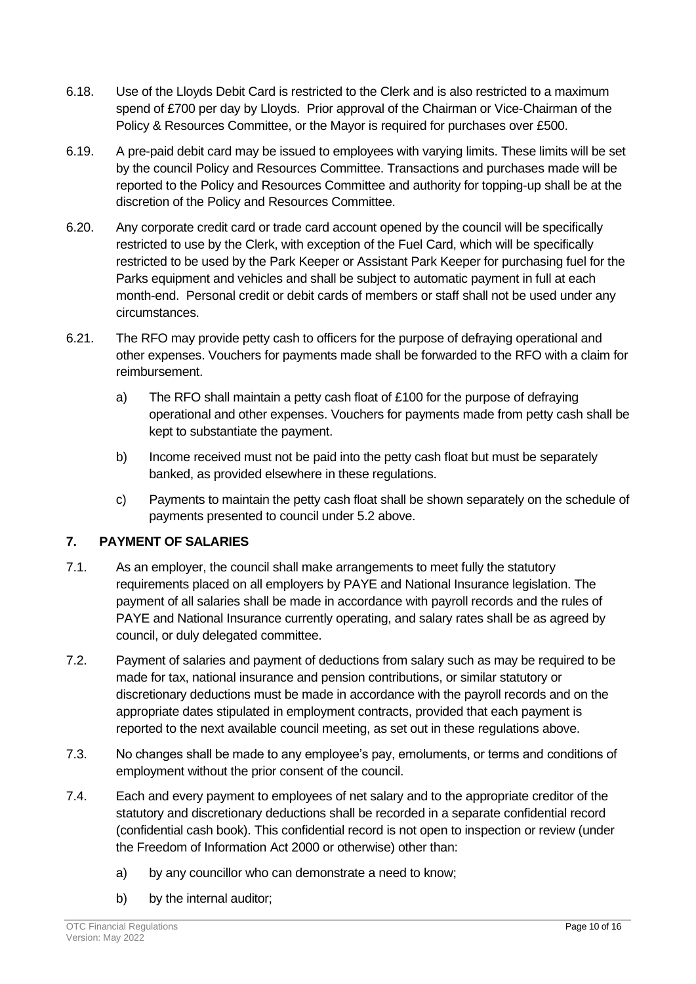- 6.18. Use of the Lloyds Debit Card is restricted to the Clerk and is also restricted to a maximum spend of £700 per day by Lloyds. Prior approval of the Chairman or Vice-Chairman of the Policy & Resources Committee, or the Mayor is required for purchases over £500.
- 6.19. A pre-paid debit card may be issued to employees with varying limits. These limits will be set by the council Policy and Resources Committee. Transactions and purchases made will be reported to the Policy and Resources Committee and authority for topping-up shall be at the discretion of the Policy and Resources Committee.
- 6.20. Any corporate credit card or trade card account opened by the council will be specifically restricted to use by the Clerk, with exception of the Fuel Card, which will be specifically restricted to be used by the Park Keeper or Assistant Park Keeper for purchasing fuel for the Parks equipment and vehicles and shall be subject to automatic payment in full at each month-end. Personal credit or debit cards of members or staff shall not be used under any circumstances.
- 6.21. The RFO may provide petty cash to officers for the purpose of defraying operational and other expenses. Vouchers for payments made shall be forwarded to the RFO with a claim for reimbursement.
	- a) The RFO shall maintain a petty cash float of £100 for the purpose of defraying operational and other expenses. Vouchers for payments made from petty cash shall be kept to substantiate the payment.
	- b) Income received must not be paid into the petty cash float but must be separately banked, as provided elsewhere in these regulations.
	- c) Payments to maintain the petty cash float shall be shown separately on the schedule of payments presented to council under 5.2 above.

# <span id="page-9-0"></span>**7. PAYMENT OF SALARIES**

- 7.1. As an employer, the council shall make arrangements to meet fully the statutory requirements placed on all employers by PAYE and National Insurance legislation. The payment of all salaries shall be made in accordance with payroll records and the rules of PAYE and National Insurance currently operating, and salary rates shall be as agreed by council, or duly delegated committee.
- 7.2. Payment of salaries and payment of deductions from salary such as may be required to be made for tax, national insurance and pension contributions, or similar statutory or discretionary deductions must be made in accordance with the payroll records and on the appropriate dates stipulated in employment contracts, provided that each payment is reported to the next available council meeting, as set out in these regulations above.
- 7.3. No changes shall be made to any employee's pay, emoluments, or terms and conditions of employment without the prior consent of the council.
- 7.4. Each and every payment to employees of net salary and to the appropriate creditor of the statutory and discretionary deductions shall be recorded in a separate confidential record (confidential cash book). This confidential record is not open to inspection or review (under the Freedom of Information Act 2000 or otherwise) other than:
	- a) by any councillor who can demonstrate a need to know;
	- b) by the internal auditor;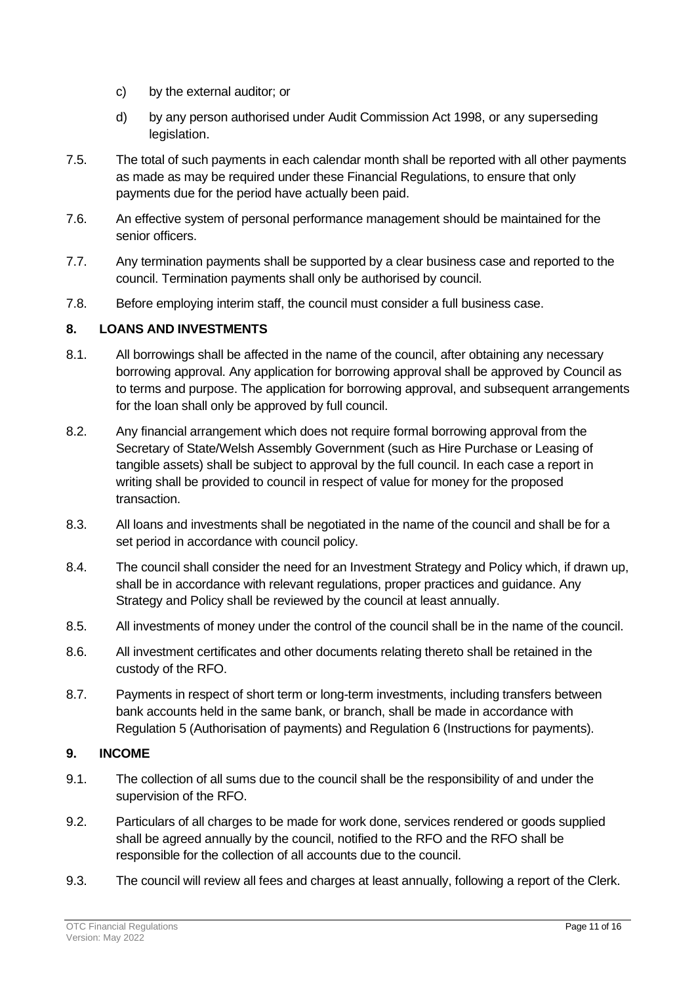- c) by the external auditor; or
- d) by any person authorised under Audit Commission Act 1998, or any superseding legislation.
- 7.5. The total of such payments in each calendar month shall be reported with all other payments as made as may be required under these Financial Regulations, to ensure that only payments due for the period have actually been paid.
- 7.6. An effective system of personal performance management should be maintained for the senior officers.
- 7.7. Any termination payments shall be supported by a clear business case and reported to the council. Termination payments shall only be authorised by council.
- 7.8. Before employing interim staff, the council must consider a full business case.

# <span id="page-10-0"></span>**8. LOANS AND INVESTMENTS**

- 8.1. All borrowings shall be affected in the name of the council, after obtaining any necessary borrowing approval. Any application for borrowing approval shall be approved by Council as to terms and purpose. The application for borrowing approval, and subsequent arrangements for the loan shall only be approved by full council.
- 8.2. Any financial arrangement which does not require formal borrowing approval from the Secretary of State/Welsh Assembly Government (such as Hire Purchase or Leasing of tangible assets) shall be subject to approval by the full council. In each case a report in writing shall be provided to council in respect of value for money for the proposed transaction.
- 8.3. All loans and investments shall be negotiated in the name of the council and shall be for a set period in accordance with council policy.
- 8.4. The council shall consider the need for an Investment Strategy and Policy which, if drawn up, shall be in accordance with relevant regulations, proper practices and guidance. Any Strategy and Policy shall be reviewed by the council at least annually.
- 8.5. All investments of money under the control of the council shall be in the name of the council.
- 8.6. All investment certificates and other documents relating thereto shall be retained in the custody of the RFO.
- 8.7. Payments in respect of short term or long-term investments, including transfers between bank accounts held in the same bank, or branch, shall be made in accordance with Regulation 5 (Authorisation of payments) and Regulation 6 (Instructions for payments).

#### <span id="page-10-1"></span>**9. INCOME**

- 9.1. The collection of all sums due to the council shall be the responsibility of and under the supervision of the RFO.
- 9.2. Particulars of all charges to be made for work done, services rendered or goods supplied shall be agreed annually by the council, notified to the RFO and the RFO shall be responsible for the collection of all accounts due to the council.
- 9.3. The council will review all fees and charges at least annually, following a report of the Clerk.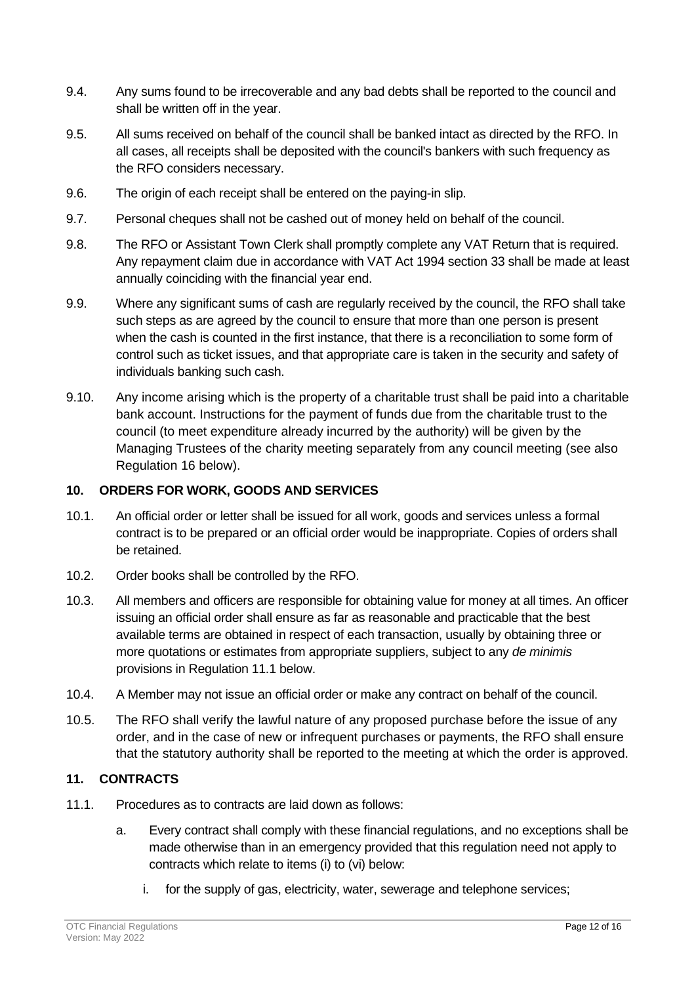- 9.4. Any sums found to be irrecoverable and any bad debts shall be reported to the council and shall be written off in the year.
- 9.5. All sums received on behalf of the council shall be banked intact as directed by the RFO. In all cases, all receipts shall be deposited with the council's bankers with such frequency as the RFO considers necessary.
- 9.6. The origin of each receipt shall be entered on the paying-in slip.
- 9.7. Personal cheques shall not be cashed out of money held on behalf of the council.
- 9.8. The RFO or Assistant Town Clerk shall promptly complete any VAT Return that is required. Any repayment claim due in accordance with VAT Act 1994 section 33 shall be made at least annually coinciding with the financial year end.
- 9.9. Where any significant sums of cash are regularly received by the council, the RFO shall take such steps as are agreed by the council to ensure that more than one person is present when the cash is counted in the first instance, that there is a reconciliation to some form of control such as ticket issues, and that appropriate care is taken in the security and safety of individuals banking such cash.
- 9.10. Any income arising which is the property of a charitable trust shall be paid into a charitable bank account. Instructions for the payment of funds due from the charitable trust to the council (to meet expenditure already incurred by the authority) will be given by the Managing Trustees of the charity meeting separately from any council meeting (see also Regulation 16 below).

#### <span id="page-11-0"></span>**10. ORDERS FOR WORK, GOODS AND SERVICES**

- 10.1. An official order or letter shall be issued for all work, goods and services unless a formal contract is to be prepared or an official order would be inappropriate. Copies of orders shall be retained.
- 10.2. Order books shall be controlled by the RFO.
- 10.3. All members and officers are responsible for obtaining value for money at all times. An officer issuing an official order shall ensure as far as reasonable and practicable that the best available terms are obtained in respect of each transaction, usually by obtaining three or more quotations or estimates from appropriate suppliers, subject to any *de minimis* provisions in Regulation 11.1 below.
- 10.4. A Member may not issue an official order or make any contract on behalf of the council.
- 10.5. The RFO shall verify the lawful nature of any proposed purchase before the issue of any order, and in the case of new or infrequent purchases or payments, the RFO shall ensure that the statutory authority shall be reported to the meeting at which the order is approved.

#### <span id="page-11-1"></span>**11. CONTRACTS**

- 11.1. Procedures as to contracts are laid down as follows:
	- a. Every contract shall comply with these financial regulations, and no exceptions shall be made otherwise than in an emergency provided that this regulation need not apply to contracts which relate to items (i) to (vi) below:
		- i. for the supply of gas, electricity, water, sewerage and telephone services;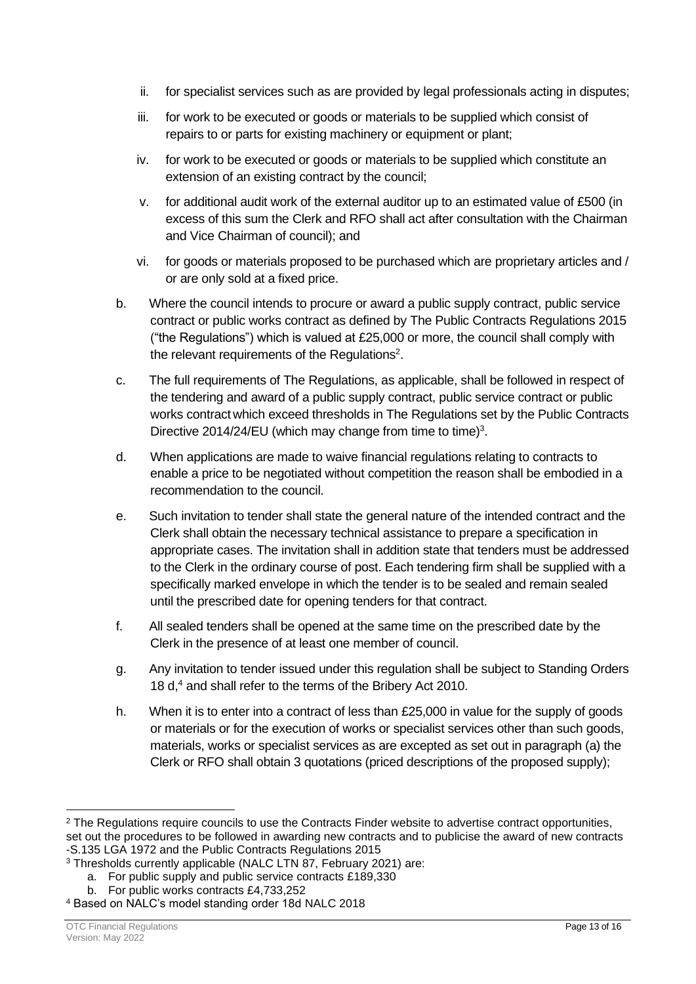- ii. for specialist services such as are provided by legal professionals acting in disputes;
- iii. for work to be executed or goods or materials to be supplied which consist of repairs to or parts for existing machinery or equipment or plant;
- iv. for work to be executed or goods or materials to be supplied which constitute an extension of an existing contract by the council;
- v. for additional audit work of the external auditor up to an estimated value of £500 (in excess of this sum the Clerk and RFO shall act after consultation with the Chairman and Vice Chairman of council); and
- vi. for goods or materials proposed to be purchased which are proprietary articles and / or are only sold at a fixed price.
- b. Where the council intends to procure or award a public supply contract, public service contract or public works contract as defined by The Public Contracts Regulations 2015 ("the Regulations") which is valued at £25,000 or more, the council shall comply with the relevant requirements of the Regulations<sup>2</sup>.
- c. The full requirements of The Regulations, as applicable, shall be followed in respect of the tendering and award of a public supply contract, public service contract or public works contract which exceed thresholds in The Regulations set by the Public Contracts Directive 2014/24/EU (which may change from time to time) $3$ .
- d. When applications are made to waive financial regulations relating to contracts to enable a price to be negotiated without competition the reason shall be embodied in a recommendation to the council.
- e. Such invitation to tender shall state the general nature of the intended contract and the Clerk shall obtain the necessary technical assistance to prepare a specification in appropriate cases. The invitation shall in addition state that tenders must be addressed to the Clerk in the ordinary course of post. Each tendering firm shall be supplied with a specifically marked envelope in which the tender is to be sealed and remain sealed until the prescribed date for opening tenders for that contract.
- f. All sealed tenders shall be opened at the same time on the prescribed date by the Clerk in the presence of at least one member of council.
- g. Any invitation to tender issued under this regulation shall be subject to Standing Orders 18 d, <sup>4</sup> and shall refer to the terms of the Bribery Act 2010.
- h. When it is to enter into a contract of less than £25,000 in value for the supply of goods or materials or for the execution of works or specialist services other than such goods, materials, works or specialist services as are excepted as set out in paragraph (a) the Clerk or RFO shall obtain 3 quotations (priced descriptions of the proposed supply);

- a. For public supply and public service contracts £189,330
- b. For public works contracts £4,733,252

<sup>&</sup>lt;sup>2</sup> The Regulations require councils to use the Contracts Finder website to advertise contract opportunities, set out the procedures to be followed in awarding new contracts and to publicise the award of new contracts -S.135 LGA 1972 and the Public Contracts Regulations 2015

<sup>&</sup>lt;sup>3</sup> Thresholds currently applicable (NALC LTN 87, February 2021) are:

<sup>4</sup> Based on NALC's model standing order 18d NALC 2018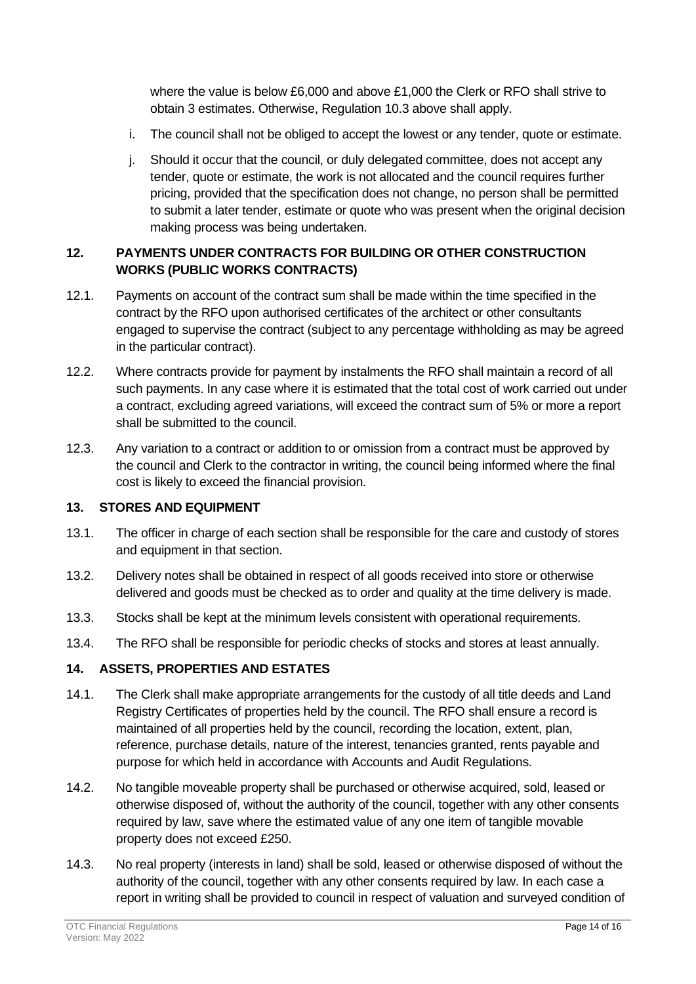where the value is below £6,000 and above £1,000 the Clerk or RFO shall strive to obtain 3 estimates. Otherwise, Regulation 10.3 above shall apply.

- i. The council shall not be obliged to accept the lowest or any tender, quote or estimate.
- j. Should it occur that the council, or duly delegated committee, does not accept any tender, quote or estimate, the work is not allocated and the council requires further pricing, provided that the specification does not change, no person shall be permitted to submit a later tender, estimate or quote who was present when the original decision making process was being undertaken.

# <span id="page-13-0"></span>**12. PAYMENTS UNDER CONTRACTS FOR BUILDING OR OTHER CONSTRUCTION WORKS (PUBLIC WORKS CONTRACTS)**

- 12.1. Payments on account of the contract sum shall be made within the time specified in the contract by the RFO upon authorised certificates of the architect or other consultants engaged to supervise the contract (subject to any percentage withholding as may be agreed in the particular contract).
- 12.2. Where contracts provide for payment by instalments the RFO shall maintain a record of all such payments. In any case where it is estimated that the total cost of work carried out under a contract, excluding agreed variations, will exceed the contract sum of 5% or more a report shall be submitted to the council.
- 12.3. Any variation to a contract or addition to or omission from a contract must be approved by the council and Clerk to the contractor in writing, the council being informed where the final cost is likely to exceed the financial provision.

# <span id="page-13-1"></span>**13. STORES AND EQUIPMENT**

- 13.1. The officer in charge of each section shall be responsible for the care and custody of stores and equipment in that section.
- 13.2. Delivery notes shall be obtained in respect of all goods received into store or otherwise delivered and goods must be checked as to order and quality at the time delivery is made.
- 13.3. Stocks shall be kept at the minimum levels consistent with operational requirements.
- 13.4. The RFO shall be responsible for periodic checks of stocks and stores at least annually.

# <span id="page-13-2"></span>**14. ASSETS, PROPERTIES AND ESTATES**

- 14.1. The Clerk shall make appropriate arrangements for the custody of all title deeds and Land Registry Certificates of properties held by the council. The RFO shall ensure a record is maintained of all properties held by the council, recording the location, extent, plan, reference, purchase details, nature of the interest, tenancies granted, rents payable and purpose for which held in accordance with Accounts and Audit Regulations.
- 14.2. No tangible moveable property shall be purchased or otherwise acquired, sold, leased or otherwise disposed of, without the authority of the council, together with any other consents required by law, save where the estimated value of any one item of tangible movable property does not exceed £250.
- 14.3. No real property (interests in land) shall be sold, leased or otherwise disposed of without the authority of the council, together with any other consents required by law. In each case a report in writing shall be provided to council in respect of valuation and surveyed condition of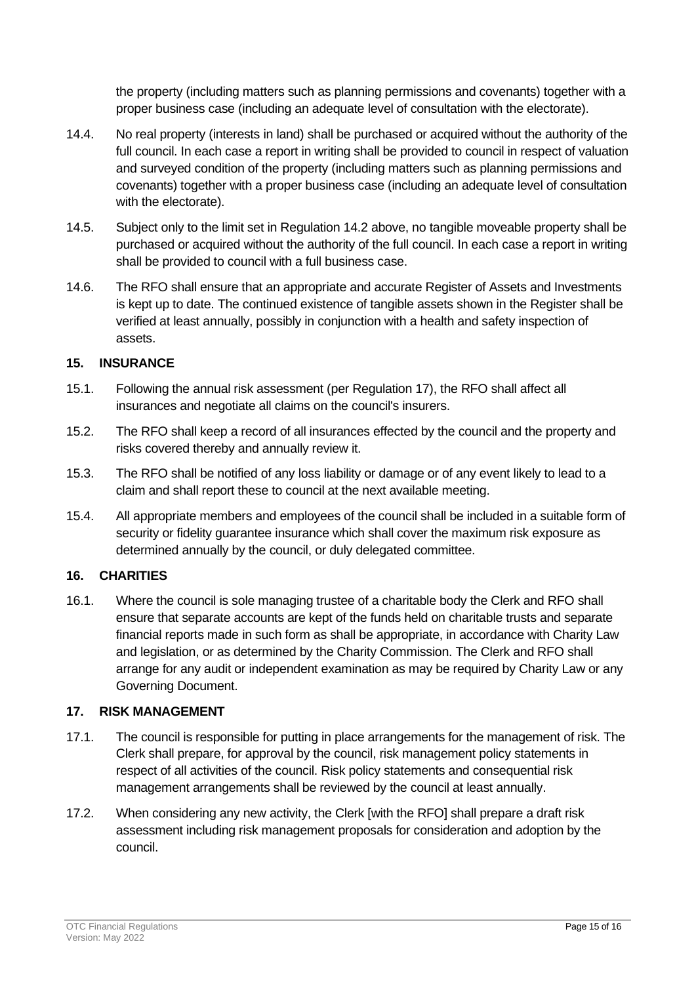the property (including matters such as planning permissions and covenants) together with a proper business case (including an adequate level of consultation with the electorate).

- 14.4. No real property (interests in land) shall be purchased or acquired without the authority of the full council. In each case a report in writing shall be provided to council in respect of valuation and surveyed condition of the property (including matters such as planning permissions and covenants) together with a proper business case (including an adequate level of consultation with the electorate).
- 14.5. Subject only to the limit set in Regulation 14.2 above, no tangible moveable property shall be purchased or acquired without the authority of the full council. In each case a report in writing shall be provided to council with a full business case.
- 14.6. The RFO shall ensure that an appropriate and accurate Register of Assets and Investments is kept up to date. The continued existence of tangible assets shown in the Register shall be verified at least annually, possibly in conjunction with a health and safety inspection of assets.

# <span id="page-14-0"></span>**15. INSURANCE**

- 15.1. Following the annual risk assessment (per Regulation 17), the RFO shall affect all insurances and negotiate all claims on the council's insurers.
- 15.2. The RFO shall keep a record of all insurances effected by the council and the property and risks covered thereby and annually review it.
- 15.3. The RFO shall be notified of any loss liability or damage or of any event likely to lead to a claim and shall report these to council at the next available meeting.
- 15.4. All appropriate members and employees of the council shall be included in a suitable form of security or fidelity guarantee insurance which shall cover the maximum risk exposure as determined annually by the council, or duly delegated committee.

# <span id="page-14-1"></span>**16. CHARITIES**

16.1. Where the council is sole managing trustee of a charitable body the Clerk and RFO shall ensure that separate accounts are kept of the funds held on charitable trusts and separate financial reports made in such form as shall be appropriate, in accordance with Charity Law and legislation, or as determined by the Charity Commission. The Clerk and RFO shall arrange for any audit or independent examination as may be required by Charity Law or any Governing Document.

# <span id="page-14-2"></span>**17. RISK MANAGEMENT**

- 17.1. The council is responsible for putting in place arrangements for the management of risk. The Clerk shall prepare, for approval by the council, risk management policy statements in respect of all activities of the council. Risk policy statements and consequential risk management arrangements shall be reviewed by the council at least annually.
- 17.2. When considering any new activity, the Clerk [with the RFO] shall prepare a draft risk assessment including risk management proposals for consideration and adoption by the council.